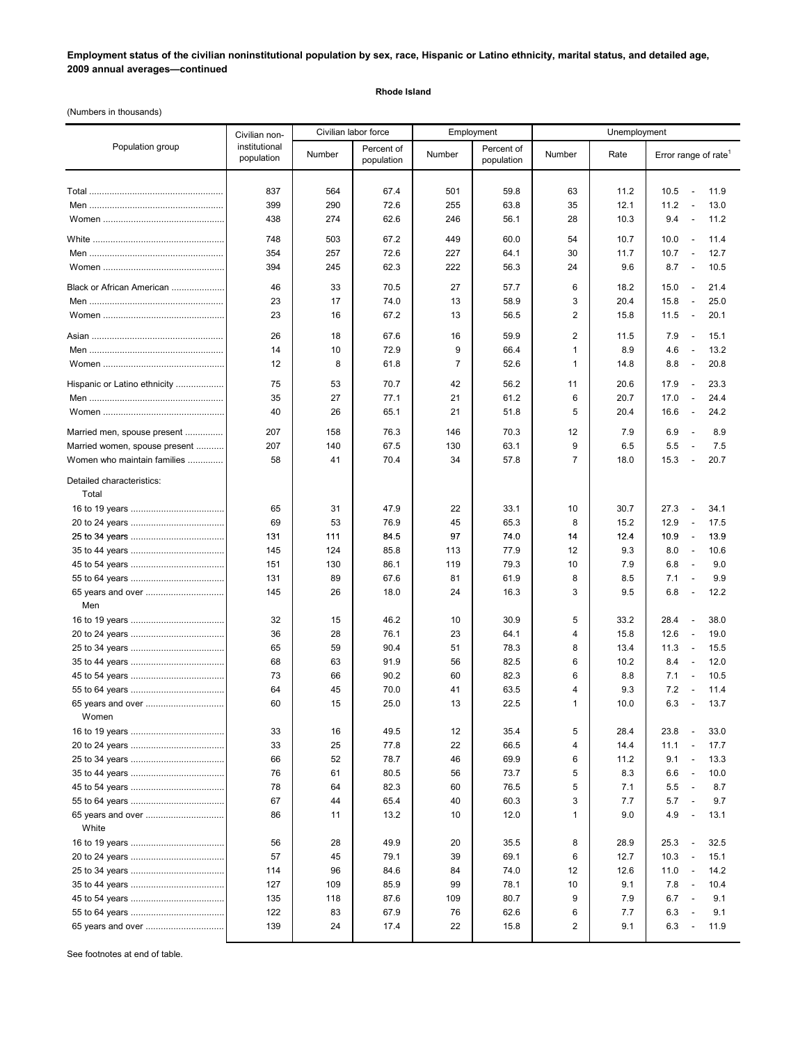# **Employment status of the civilian noninstitutional population by sex, race, Hispanic or Latino ethnicity, marital status, and detailed age, 2009 annual averages—continued**

#### **Rhode Island**

(Numbers in thousands)

|                                    | Civilian non-               |          | Civilian labor force     | Employment     |                          | Unemployment        |              |                                                                                      |
|------------------------------------|-----------------------------|----------|--------------------------|----------------|--------------------------|---------------------|--------------|--------------------------------------------------------------------------------------|
| Population group                   | institutional<br>population | Number   | Percent of<br>population | Number         | Percent of<br>population | Number              | Rate         | Error range of rate <sup>1</sup>                                                     |
|                                    | 837                         | 564      | 67.4                     | 501            | 59.8                     | 63                  | 11.2         | 11.9<br>10.5<br>$\overline{\phantom{a}}$                                             |
|                                    | 399                         | 290      | 72.6                     | 255            | 63.8                     | 35                  | 12.1         | 11.2<br>13.0<br>$\overline{\phantom{a}}$                                             |
|                                    | 438                         | 274      | 62.6                     | 246            | 56.1                     | 28                  | 10.3         | 9.4<br>11.2<br>$\overline{\phantom{a}}$                                              |
|                                    |                             |          |                          |                |                          |                     |              |                                                                                      |
|                                    | 748                         | 503      | 67.2                     | 449            | 60.0                     | 54                  | 10.7         | 10.0<br>11.4<br>$\overline{\phantom{a}}$                                             |
|                                    | 354                         | 257      | 72.6                     | 227            | 64.1                     | 30                  | 11.7         | 10.7<br>12.7<br>$\overline{\phantom{a}}$                                             |
|                                    | 394                         | 245      | 62.3                     | 222            | 56.3                     | 24                  | 9.6          | 8.7<br>10.5<br>$\overline{\phantom{a}}$                                              |
| Black or African American          | 46                          | 33       | 70.5                     | 27             | 57.7                     | 6                   | 18.2         | 15.0<br>21.4<br>$\overline{\phantom{a}}$                                             |
|                                    | 23                          | 17       | 74.0                     | 13             | 58.9                     | 3                   | 20.4         | 15.8<br>$\overline{\phantom{a}}$<br>25.0                                             |
|                                    | 23                          | 16       | 67.2                     | 13             | 56.5                     | $\overline{2}$      | 15.8         | 11.5<br>20.1<br>$\overline{\phantom{a}}$                                             |
|                                    | 26                          | 18       | 67.6                     | 16             | 59.9                     | $\overline{2}$      | 11.5         | 7.9<br>15.1<br>$\overline{\phantom{a}}$                                              |
|                                    | 14                          | 10       | 72.9                     | 9              | 66.4                     | $\mathbf{1}$        | 8.9          | 13.2<br>4.6<br>$\overline{\phantom{a}}$                                              |
|                                    | 12                          | 8        | 61.8                     | $\overline{7}$ | 52.6                     | $\mathbf{1}$        | 14.8         | 8.8<br>20.8<br>$\overline{\phantom{a}}$                                              |
| Hispanic or Latino ethnicity       | 75                          | 53       | 70.7                     | 42             | 56.2                     | 11                  | 20.6         | 17.9<br>23.3<br>$\overline{\phantom{a}}$                                             |
|                                    | 35                          | 27       | 77.1                     | 21             | 61.2                     | 6                   | 20.7         | 17.0<br>24.4<br>$\overline{\phantom{a}}$                                             |
|                                    | 40                          | 26       | 65.1                     | 21             | 51.8                     | 5                   | 20.4         | 16.6<br>24.2<br>$\overline{\phantom{a}}$                                             |
| Married men, spouse present        | 207                         | 158      | 76.3                     | 146            | 70.3                     | 12                  | 7.9          | 6.9<br>8.9<br>$\overline{\phantom{a}}$                                               |
| Married women, spouse present      | 207                         | 140      | 67.5                     | 130            | 63.1                     | 9                   | 6.5          | 5.5<br>7.5<br>$\overline{\phantom{a}}$                                               |
| Women who maintain families        | 58                          | 41       | 70.4                     | 34             | 57.8                     | $\overline{7}$      | 18.0         | 15.3<br>20.7<br>$\overline{\phantom{a}}$                                             |
| Detailed characteristics:<br>Total |                             |          |                          |                |                          |                     |              |                                                                                      |
|                                    | 65                          | 31       | 47.9                     | 22             | 33.1                     | 10                  | 30.7         | 34.1<br>27.3<br>$\overline{\phantom{a}}$                                             |
|                                    | 69                          | 53       | 76.9                     | 45             | 65.3                     | 8                   | 15.2         | 12.9<br>17.5<br>$\overline{\phantom{a}}$                                             |
|                                    | 131                         | 111      | 84.5                     | 97             | 74.0                     | 14                  | 12.4         | 10.9<br>13.9<br>$\overline{\phantom{a}}$                                             |
|                                    | 145                         | 124      | 85.8                     | 113            | 77.9                     | 12                  | 9.3          | 8.0<br>10.6<br>$\overline{\phantom{a}}$                                              |
|                                    | 151                         | 130      | 86.1                     | 119            | 79.3                     | 10                  | 7.9          | 6.8<br>9.0<br>$\overline{\phantom{a}}$                                               |
|                                    | 131                         | 89       | 67.6                     | 81             | 61.9                     | 8                   | 8.5          | 7.1<br>9.9<br>$\overline{\phantom{a}}$                                               |
| 65 years and over                  | 145                         | 26       | 18.0                     | 24             | 16.3                     | 3                   | 9.5          | 6.8<br>12.2<br>$\overline{\phantom{a}}$                                              |
| Men                                |                             |          |                          |                |                          |                     |              |                                                                                      |
|                                    | 32                          | 15       | 46.2                     | 10             | 30.9                     | 5                   | 33.2         | 28.4<br>38.0<br>$\overline{\phantom{a}}$                                             |
|                                    | 36<br>65                    | 28<br>59 | 76.1<br>90.4             | 23<br>51       | 64.1<br>78.3             | $\overline{4}$<br>8 | 15.8<br>13.4 | 12.6<br>$\overline{\phantom{a}}$<br>19.0<br>11.3<br>15.5<br>$\overline{\phantom{a}}$ |
|                                    | 68                          | 63       | 91.9                     | 56             | 82.5                     | 6                   | 10.2         | 8.4<br>12.0<br>$\overline{\phantom{a}}$                                              |
|                                    | 73                          | 66       | 90.2                     | 60             | 82.3                     | 6                   | 8.8          | 7.1<br>10.5<br>$\overline{\phantom{a}}$                                              |
|                                    | 64                          | 45       | 70.0                     | 41             | 63.5                     | 4                   | 9.3          | 7.2<br>11.4<br>$\overline{\phantom{a}}$                                              |
|                                    | 60                          | 15       | 25.0                     | 13             | 22.5                     | 1                   | 10.0         | 6.3<br>13.7<br>$\overline{\phantom{a}}$                                              |
| Women                              |                             |          |                          |                |                          |                     |              |                                                                                      |
|                                    | 33                          | 16       | 49.5                     | 12             | 35.4                     | 5                   | 28.4         | 33.0<br>23.8<br>$\overline{a}$                                                       |
|                                    | 33                          | 25       | 77.8                     | 22             | 66.5                     | 4                   | 14.4         | 11.1<br>17.7<br>$\overline{a}$                                                       |
|                                    | 66                          | 52       | 78.7                     | 46             | 69.9                     | 6                   | 11.2         | 9.1<br>13.3<br>$\overline{\phantom{a}}$                                              |
|                                    | 76                          | 61       | 80.5                     | 56             | 73.7                     | 5                   | 8.3          | 6.6<br>10.0<br>$\overline{\phantom{a}}$                                              |
|                                    | 78                          | 64       | 82.3                     | 60             | 76.5                     | 5                   | 7.1          | 5.5<br>8.7<br>$\overline{\phantom{a}}$                                               |
|                                    | 67                          | 44       | 65.4                     | 40             | 60.3                     | 3                   | 7.7          | 5.7<br>9.7<br>$\overline{\phantom{a}}$                                               |
| 65 years and over<br>White         | 86                          | 11       | 13.2                     | 10             | 12.0                     | 1                   | 9.0          | 4.9<br>13.1<br>$\overline{\phantom{a}}$                                              |
|                                    | 56                          | 28       | 49.9                     | 20             | 35.5                     | 8                   | 28.9         | 32.5<br>25.3                                                                         |
|                                    | 57                          | 45       | 79.1                     | 39             | 69.1                     | 6                   | 12.7         | 10.3<br>15.1<br>$\overline{\phantom{a}}$                                             |
|                                    | 114                         | 96       | 84.6                     | 84             | 74.0                     | 12                  | 12.6         | 11.0<br>14.2<br>$\overline{\phantom{a}}$                                             |
|                                    | 127                         | 109      | 85.9                     | 99             | 78.1                     | 10                  | 9.1          | 7.8<br>10.4<br>$\overline{\phantom{a}}$                                              |
|                                    | 135                         | 118      | 87.6                     | 109            | 80.7                     | 9                   | 7.9          | 6.7<br>9.1<br>$\overline{\phantom{a}}$                                               |
|                                    | 122                         | 83       | 67.9                     | 76             | 62.6                     | 6                   | 7.7          | 6.3<br>9.1                                                                           |
| 65 years and over                  | 139                         | 24       | 17.4                     | 22             | 15.8                     | 2                   | 9.1          | 6.3<br>11.9<br>L,                                                                    |
|                                    |                             |          |                          |                |                          |                     |              |                                                                                      |

See footnotes at end of table.